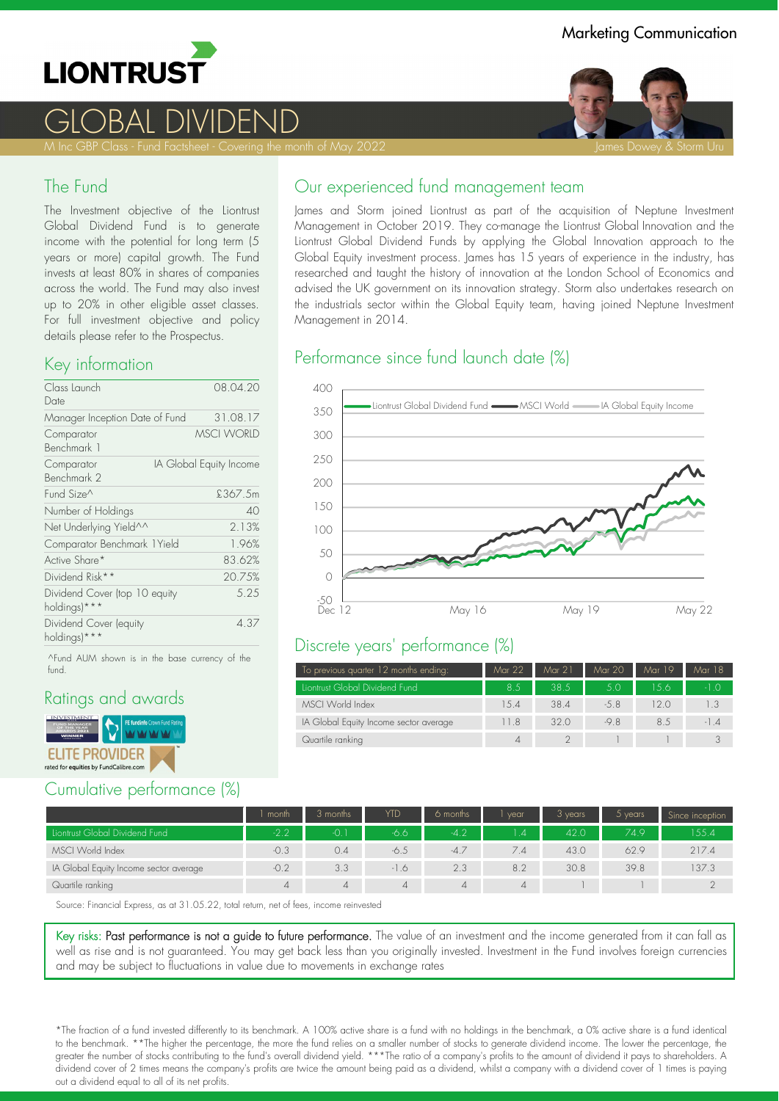

# GLOBAL DIVIDEND

M Inc GBP Class - Fund Factsheet - Covering the month of May 2022 James James Dowey & Storm Uru James Dowey & Storm Uru

#### The Fund

The Investment objective of the Liontrust Global Dividend Fund is to generate income with the potential for long term (5 years or more) capital growth. The Fund invests at least 80% in shares of companies across the world. The Fund may also invest up to 20% in other eligible asset classes. For full investment objective and policy details please refer to the Prospectus.

#### Key information

| Class Launch                                  | 08.04.20                |
|-----------------------------------------------|-------------------------|
| Date                                          |                         |
| Manager Inception Date of Fund                | 31.08.17                |
| Comparator<br>Benchmark 1                     | <b>MSCI WORLD</b>       |
| Comparator<br>Benchmark 2                     | IA Global Equity Income |
| Fund Size^                                    | £367.5m                 |
| Number of Holdings                            | 40                      |
| Net Underlying Yield^^                        | 2.13%                   |
| Comparator Benchmark 1Yield                   | 1.96%                   |
| Active Share*                                 | 83.62%                  |
| Dividend Risk**                               | 20.75%                  |
| Dividend Cover (top 10 equity<br>holdings)*** | 5.25                    |
| Dividend Cover (equity<br>holdings)***        | 4.37                    |

^Fund AUM shown is in the base currency of the fund.

#### Ratings and awards



## Cumulative performance (%)

# Our experienced fund management team

James and Storm joined Liontrust as part of the acquisition of Neptune Investment Management in October 2019. They co-manage the Liontrust Global Innovation and the Liontrust Global Dividend Funds by applying the Global Innovation approach to the Global Equity investment process. James has 15 years of experience in the industry, has researched and taught the history of innovation at the London School of Economics and advised the UK government on its innovation strategy. Storm also undertakes research on the industrials sector within the Global Equity team, having joined Neptune Investment Management in 2014.

# Performance since fund launch date (%)



#### Discrete years' performance (%)

| To previous quarter 12 months ending:  | Mar 22 | Mar 21 | Mar 20 | Mar 19 | Mar 18 |
|----------------------------------------|--------|--------|--------|--------|--------|
| Liontrust Global Dividend Fund         | 8.5    | 38.5   | 5.0    | 1.5.6  | $-1.0$ |
| MSCI World Index                       | 1.5.4  | 38.4   | $-5.8$ | 12 O   |        |
| IA Global Equity Income sector average | 11.8   | 320    | $-9.8$ | 8.5    | $-1.4$ |
| Quartile ranking                       | Δ      |        |        |        |        |

|                                        | month    | 3 months       | YTD      | 6 months       | vear     | 3 years | $5$ years | Since inception |
|----------------------------------------|----------|----------------|----------|----------------|----------|---------|-----------|-----------------|
| Liontrust Global Dividend Fund         | $-2.2$   | -0. 1          | -6.6     | $-4.2$         | 14       | 42.0    | 749       | 155.4           |
| MSCI World Index                       | $-0.3$   | 0.4            | -6.5     | $-4.7$         | 7.4      | 43.0    | 62.9      | 217.4           |
| IA Global Equity Income sector average | $-0.2$   | 3.3            | $-1.6$   | 2.3            | 8.2      | 30.8    | 39.8      | 137.3           |
| Quartile ranking                       | $\Delta$ | $\overline{4}$ | $\Delta$ | $\overline{4}$ | $\Delta$ |         |           |                 |

Source: Financial Express, as at 31.05.22, total return, net of fees, income reinvested

Key risks: Past performance is not a guide to future performance. The value of an investment and the income generated from it can fall as well as rise and is not guaranteed. You may get back less than you originally invested. Investment in the Fund involves foreign currencies and may be subject to fluctuations in value due to movements in exchange rates

\*The fraction of a fund invested differently to its benchmark. A 100% active share is a fund with no holdings in the benchmark, a 0% active share is a fund identical to the benchmark. \*\*The higher the percentage, the more the fund relies on a smaller number of stocks to generate dividend income. The lower the percentage, the greater the number of stocks contributing to the fund's overall dividend yield. \*\*\*The ratio of a company's profits to the amount of dividend it pays to shareholders. A dividend cover of 2 times means the company's profits are twice the amount being paid as a dividend, whilst a company with a dividend cover of 1 times is paying out a dividend equal to all of its net profits.